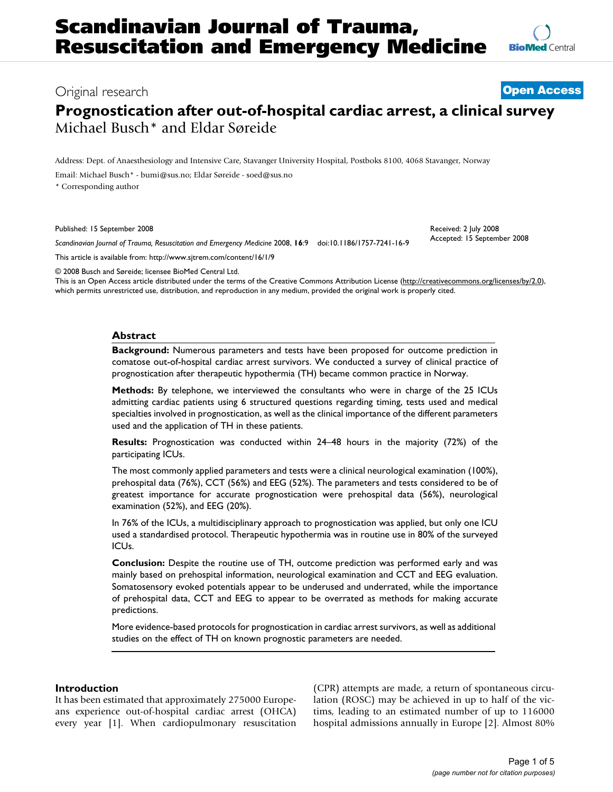Received: 2 July 2008 Accepted: 15 September 2008

# Original research **[Open Access](http://www.biomedcentral.com/info/about/charter/)**

# **Prognostication after out-of-hospital cardiac arrest, a clinical survey** Michael Busch\* and Eldar Søreide

Address: Dept. of Anaesthesiology and Intensive Care, Stavanger University Hospital, Postboks 8100, 4068 Stavanger, Norway

Email: Michael Busch\* - bumi@sus.no; Eldar Søreide - soed@sus.no

\* Corresponding author

Published: 15 September 2008

*Scandinavian Journal of Trauma, Resuscitation and Emergency Medicine* 2008, **16**:9 doi:10.1186/1757-7241-16-9

[This article is available from: http://www.sjtrem.com/content/16/1/9](http://www.sjtrem.com/content/16/1/9)

© 2008 Busch and Søreide; licensee BioMed Central Ltd.

This is an Open Access article distributed under the terms of the Creative Commons Attribution License [\(http://creativecommons.org/licenses/by/2.0\)](http://creativecommons.org/licenses/by/2.0), which permits unrestricted use, distribution, and reproduction in any medium, provided the original work is properly cited.

### **Abstract**

**Background:** Numerous parameters and tests have been proposed for outcome prediction in comatose out-of-hospital cardiac arrest survivors. We conducted a survey of clinical practice of prognostication after therapeutic hypothermia (TH) became common practice in Norway.

**Methods:** By telephone, we interviewed the consultants who were in charge of the 25 ICUs admitting cardiac patients using 6 structured questions regarding timing, tests used and medical specialties involved in prognostication, as well as the clinical importance of the different parameters used and the application of TH in these patients.

**Results:** Prognostication was conducted within 24–48 hours in the majority (72%) of the participating ICUs.

The most commonly applied parameters and tests were a clinical neurological examination (100%), prehospital data (76%), CCT (56%) and EEG (52%). The parameters and tests considered to be of greatest importance for accurate prognostication were prehospital data (56%), neurological examination (52%), and EEG (20%).

In 76% of the ICUs, a multidisciplinary approach to prognostication was applied, but only one ICU used a standardised protocol. Therapeutic hypothermia was in routine use in 80% of the surveyed ICUs.

**Conclusion:** Despite the routine use of TH, outcome prediction was performed early and was mainly based on prehospital information, neurological examination and CCT and EEG evaluation. Somatosensory evoked potentials appear to be underused and underrated, while the importance of prehospital data, CCT and EEG to appear to be overrated as methods for making accurate predictions.

More evidence-based protocols for prognostication in cardiac arrest survivors, as well as additional studies on the effect of TH on known prognostic parameters are needed.

### **Introduction**

It has been estimated that approximately 275000 Europeans experience out-of-hospital cardiac arrest (OHCA) every year [1]. When cardiopulmonary resuscitation (CPR) attempts are made, a return of spontaneous circulation (ROSC) may be achieved in up to half of the victims, leading to an estimated number of up to 116000 hospital admissions annually in Europe [2]. Almost 80%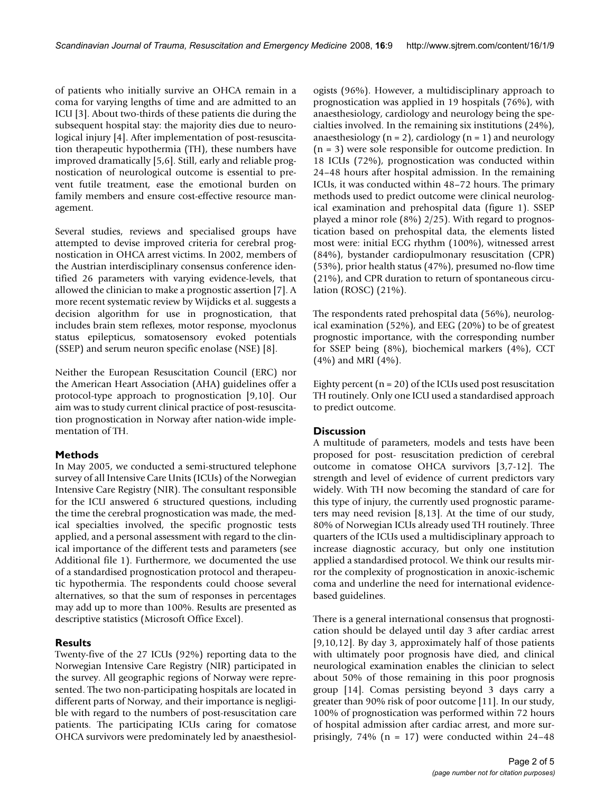of patients who initially survive an OHCA remain in a coma for varying lengths of time and are admitted to an ICU [3]. About two-thirds of these patients die during the subsequent hospital stay: the majority dies due to neurological injury [4]. After implementation of post-resuscitation therapeutic hypothermia (TH), these numbers have improved dramatically [5,6]. Still, early and reliable prognostication of neurological outcome is essential to prevent futile treatment, ease the emotional burden on family members and ensure cost-effective resource management.

Several studies, reviews and specialised groups have attempted to devise improved criteria for cerebral prognostication in OHCA arrest victims. In 2002, members of the Austrian interdisciplinary consensus conference identified 26 parameters with varying evidence-levels, that allowed the clinician to make a prognostic assertion [7]. A more recent systematic review by Wijdicks et al. suggests a decision algorithm for use in prognostication, that includes brain stem reflexes, motor response, myoclonus status epilepticus, somatosensory evoked potentials (SSEP) and serum neuron specific enolase (NSE) [8].

Neither the European Resuscitation Council (ERC) nor the American Heart Association (AHA) guidelines offer a protocol-type approach to prognostication [9,10]. Our aim was to study current clinical practice of post-resuscitation prognostication in Norway after nation-wide implementation of TH.

# **Methods**

In May 2005, we conducted a semi-structured telephone survey of all Intensive Care Units (ICUs) of the Norwegian Intensive Care Registry (NIR). The consultant responsible for the ICU answered 6 structured questions, including the time the cerebral prognostication was made, the medical specialties involved, the specific prognostic tests applied, and a personal assessment with regard to the clinical importance of the different tests and parameters (see Additional file 1). Furthermore, we documented the use of a standardised prognostication protocol and therapeutic hypothermia. The respondents could choose several alternatives, so that the sum of responses in percentages may add up to more than 100%. Results are presented as descriptive statistics (Microsoft Office Excel).

# **Results**

Twenty-five of the 27 ICUs (92%) reporting data to the Norwegian Intensive Care Registry (NIR) participated in the survey. All geographic regions of Norway were represented. The two non-participating hospitals are located in different parts of Norway, and their importance is negligible with regard to the numbers of post-resuscitation care patients. The participating ICUs caring for comatose OHCA survivors were predominately led by anaesthesiologists (96%). However, a multidisciplinary approach to prognostication was applied in 19 hospitals (76%), with anaesthesiology, cardiology and neurology being the specialties involved. In the remaining six institutions (24%), anaesthesiology ( $n = 2$ ), cardiology ( $n = 1$ ) and neurology (n = 3) were sole responsible for outcome prediction. In 18 ICUs (72%), prognostication was conducted within 24–48 hours after hospital admission. In the remaining ICUs, it was conducted within 48–72 hours. The primary methods used to predict outcome were clinical neurological examination and prehospital data (figure 1). SSEP played a minor role (8%) 2/25). With regard to prognostication based on prehospital data, the elements listed most were: initial ECG rhythm (100%), witnessed arrest (84%), bystander cardiopulmonary resuscitation (CPR) (53%), prior health status (47%), presumed no-flow time (21%), and CPR duration to return of spontaneous circulation (ROSC) (21%).

The respondents rated prehospital data (56%), neurological examination (52%), and EEG (20%) to be of greatest prognostic importance, with the corresponding number for SSEP being (8%), biochemical markers (4%), CCT (4%) and MRI (4%).

Eighty percent  $(n = 20)$  of the ICUs used post resuscitation TH routinely. Only one ICU used a standardised approach to predict outcome.

# **Discussion**

A multitude of parameters, models and tests have been proposed for post- resuscitation prediction of cerebral outcome in comatose OHCA survivors [3,7-12]. The strength and level of evidence of current predictors vary widely. With TH now becoming the standard of care for this type of injury, the currently used prognostic parameters may need revision [8,13]. At the time of our study, 80% of Norwegian ICUs already used TH routinely. Three quarters of the ICUs used a multidisciplinary approach to increase diagnostic accuracy, but only one institution applied a standardised protocol. We think our results mirror the complexity of prognostication in anoxic-ischemic coma and underline the need for international evidencebased guidelines.

There is a general international consensus that prognostication should be delayed until day 3 after cardiac arrest [9,10,12]. By day 3, approximately half of those patients with ultimately poor prognosis have died, and clinical neurological examination enables the clinician to select about 50% of those remaining in this poor prognosis group [14]. Comas persisting beyond 3 days carry a greater than 90% risk of poor outcome [11]. In our study, 100% of prognostication was performed within 72 hours of hospital admission after cardiac arrest, and more surprisingly,  $74\%$  (n = 17) were conducted within 24-48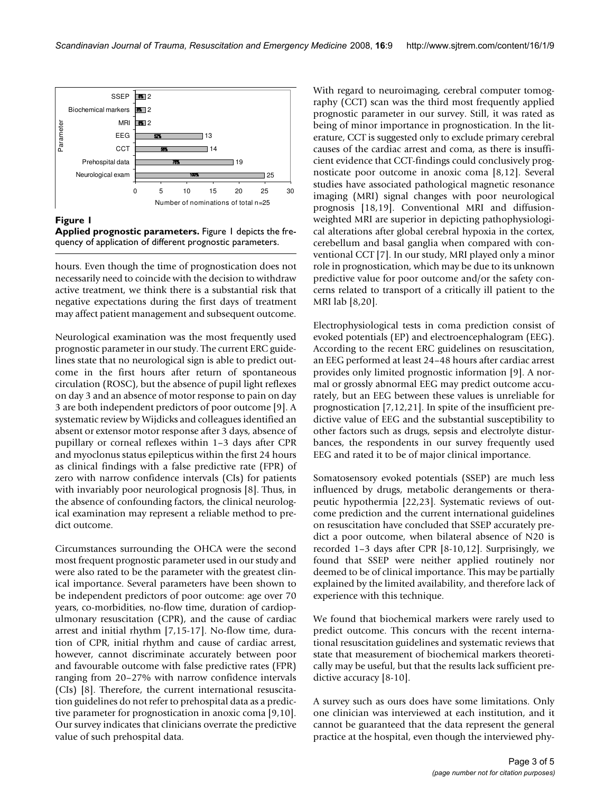

### **Figure 1**

**Applied prognostic parameters.** Figure 1 depicts the frequency of application of different prognostic parameters.

hours. Even though the time of prognostication does not necessarily need to coincide with the decision to withdraw active treatment, we think there is a substantial risk that negative expectations during the first days of treatment may affect patient management and subsequent outcome.

Neurological examination was the most frequently used prognostic parameter in our study. The current ERC guidelines state that no neurological sign is able to predict outcome in the first hours after return of spontaneous circulation (ROSC), but the absence of pupil light reflexes on day 3 and an absence of motor response to pain on day 3 are both independent predictors of poor outcome [9]. A systematic review by Wijdicks and colleagues identified an absent or extensor motor response after 3 days, absence of pupillary or corneal reflexes within 1–3 days after CPR and myoclonus status epilepticus within the first 24 hours as clinical findings with a false predictive rate (FPR) of zero with narrow confidence intervals (CIs) for patients with invariably poor neurological prognosis [8]. Thus, in the absence of confounding factors, the clinical neurological examination may represent a reliable method to predict outcome.

Circumstances surrounding the OHCA were the second most frequent prognostic parameter used in our study and were also rated to be the parameter with the greatest clinical importance. Several parameters have been shown to be independent predictors of poor outcome: age over 70 years, co-morbidities, no-flow time, duration of cardiopulmonary resuscitation (CPR), and the cause of cardiac arrest and initial rhythm [7,15-17]. No-flow time, duration of CPR, initial rhythm and cause of cardiac arrest, however, cannot discriminate accurately between poor and favourable outcome with false predictive rates (FPR) ranging from 20–27% with narrow confidence intervals (CIs) [8]. Therefore, the current international resuscitation guidelines do not refer to prehospital data as a predictive parameter for prognostication in anoxic coma [9,10]. Our survey indicates that clinicians overrate the predictive value of such prehospital data.

With regard to neuroimaging, cerebral computer tomography (CCT) scan was the third most frequently applied prognostic parameter in our survey. Still, it was rated as being of minor importance in prognostication. In the literature, CCT is suggested only to exclude primary cerebral causes of the cardiac arrest and coma, as there is insufficient evidence that CCT-findings could conclusively prognosticate poor outcome in anoxic coma [8,12]. Several studies have associated pathological magnetic resonance imaging (MRI) signal changes with poor neurological prognosis [18,19]. Conventional MRI and diffusionweighted MRI are superior in depicting pathophysiological alterations after global cerebral hypoxia in the cortex, cerebellum and basal ganglia when compared with conventional CCT [7]. In our study, MRI played only a minor role in prognostication, which may be due to its unknown predictive value for poor outcome and/or the safety concerns related to transport of a critically ill patient to the MRI lab [8,20].

Electrophysiological tests in coma prediction consist of evoked potentials (EP) and electroencephalogram (EEG). According to the recent ERC guidelines on resuscitation, an EEG performed at least 24–48 hours after cardiac arrest provides only limited prognostic information [9]. A normal or grossly abnormal EEG may predict outcome accurately, but an EEG between these values is unreliable for prognostication [7,12,21]. In spite of the insufficient predictive value of EEG and the substantial susceptibility to other factors such as drugs, sepsis and electrolyte disturbances, the respondents in our survey frequently used EEG and rated it to be of major clinical importance.

Somatosensory evoked potentials (SSEP) are much less influenced by drugs, metabolic derangements or therapeutic hypothermia [22,23]. Systematic reviews of outcome prediction and the current international guidelines on resuscitation have concluded that SSEP accurately predict a poor outcome, when bilateral absence of N20 is recorded 1–3 days after CPR [8-10,12]. Surprisingly, we found that SSEP were neither applied routinely nor deemed to be of clinical importance. This may be partially explained by the limited availability, and therefore lack of experience with this technique.

We found that biochemical markers were rarely used to predict outcome. This concurs with the recent international resuscitation guidelines and systematic reviews that state that measurement of biochemical markers theoretically may be useful, but that the results lack sufficient predictive accuracy [8-10].

A survey such as ours does have some limitations. Only one clinician was interviewed at each institution, and it cannot be guaranteed that the data represent the general practice at the hospital, even though the interviewed phy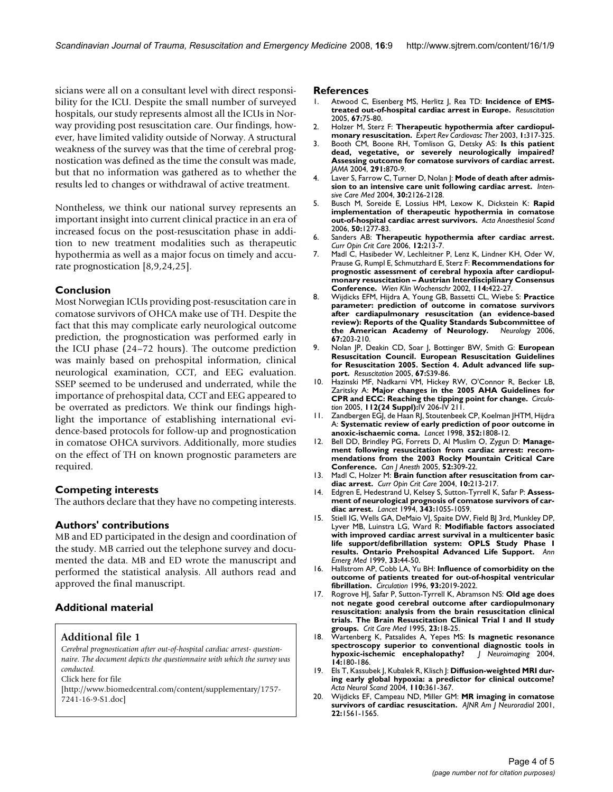sicians were all on a consultant level with direct responsibility for the ICU. Despite the small number of surveyed hospitals, our study represents almost all the ICUs in Norway providing post resuscitation care. Our findings, however, have limited validity outside of Norway. A structural weakness of the survey was that the time of cerebral prognostication was defined as the time the consult was made, but that no information was gathered as to whether the results led to changes or withdrawal of active treatment.

Nontheless, we think our national survey represents an important insight into current clinical practice in an era of increased focus on the post-resuscitation phase in addition to new treatment modalities such as therapeutic hypothermia as well as a major focus on timely and accurate prognostication [8,9,24,25].

#### **Conclusion**

Most Norwegian ICUs providing post-resuscitation care in comatose survivors of OHCA make use of TH. Despite the fact that this may complicate early neurological outcome prediction, the prognostication was performed early in the ICU phase (24–72 hours). The outcome prediction was mainly based on prehospital information, clinical neurological examination, CCT, and EEG evaluation. SSEP seemed to be underused and underrated, while the importance of prehospital data, CCT and EEG appeared to be overrated as predictors. We think our findings highlight the importance of establishing international evidence-based protocols for follow-up and prognostication in comatose OHCA survivors. Additionally, more studies on the effect of TH on known prognostic parameters are required.

#### **Competing interests**

The authors declare that they have no competing interests.

#### **Authors' contributions**

MB and ED participated in the design and coordination of the study. MB carried out the telephone survey and documented the data. MB and ED wrote the manuscript and performed the statistical analysis. All authors read and approved the final manuscript.

# **Additional material**

#### **Additional file 1**

*Cerebral prognostication after out-of-hospital cardiac arrest- questionnaire. The document depicts the questionnaire with which the survey was conducted.* Click here for file

[\[http://www.biomedcentral.com/content/supplementary/1757-](http://www.biomedcentral.com/content/supplementary/1757-7241-16-9-S1.doc) 7241-16-9-S1.doc]

#### **References**

- 1. Atwood C, Eisenberg MS, Herlitz J, Rea TD: **[Incidence of EMS](http://www.ncbi.nlm.nih.gov/entrez/query.fcgi?cmd=Retrieve&db=PubMed&dopt=Abstract&list_uids=16199289)[treated out-of-hospital cardiac arrest in Europe.](http://www.ncbi.nlm.nih.gov/entrez/query.fcgi?cmd=Retrieve&db=PubMed&dopt=Abstract&list_uids=16199289)** *Resuscitation* 2005, **67:**75-80.
- 2. Holzer M, Sterz F: **[Therapeutic hypothermia after cardiopul](http://www.ncbi.nlm.nih.gov/entrez/query.fcgi?cmd=Retrieve&db=PubMed&dopt=Abstract&list_uids=15030290)[monary resuscitation.](http://www.ncbi.nlm.nih.gov/entrez/query.fcgi?cmd=Retrieve&db=PubMed&dopt=Abstract&list_uids=15030290)** *Expert Rev Cardiovasc Ther* 2003, **1:**317-325.
- 3. Booth CM, Boone RH, Tomlison G, Detsky AS: **[Is this patient](http://www.ncbi.nlm.nih.gov/entrez/query.fcgi?cmd=Retrieve&db=PubMed&dopt=Abstract&list_uids=14970067) [dead, vegetative, or severely neurologically impaired?](http://www.ncbi.nlm.nih.gov/entrez/query.fcgi?cmd=Retrieve&db=PubMed&dopt=Abstract&list_uids=14970067) Assessing outcome for comatose survivors of cardiac arrest.** *JAMA* 2004, **291:**870-9.
- 4. Laver S, Farrow C, Turner D, Nolan J: **[Mode of death after admis](http://www.ncbi.nlm.nih.gov/entrez/query.fcgi?cmd=Retrieve&db=PubMed&dopt=Abstract&list_uids=15365608)[sion to an intensive care unit following cardiac arrest.](http://www.ncbi.nlm.nih.gov/entrez/query.fcgi?cmd=Retrieve&db=PubMed&dopt=Abstract&list_uids=15365608)** *Intensive Care Med* 2004, **30:**2126-2128.
- 5. Busch M, Soreide E, Lossius HM, Lexow K, Dickstein K: **[Rapid](http://www.ncbi.nlm.nih.gov/entrez/query.fcgi?cmd=Retrieve&db=PubMed&dopt=Abstract&list_uids=17067329) [implementation of therapeutic hypothermia in comatose](http://www.ncbi.nlm.nih.gov/entrez/query.fcgi?cmd=Retrieve&db=PubMed&dopt=Abstract&list_uids=17067329) [out-of-hospital cardiac arrest survivors.](http://www.ncbi.nlm.nih.gov/entrez/query.fcgi?cmd=Retrieve&db=PubMed&dopt=Abstract&list_uids=17067329)** *Acta Anaesthesiol Scand* 2006, **50:**1277-83.
- 6. Sanders AB: **[Therapeutic hypothermia after cardiac arrest.](http://www.ncbi.nlm.nih.gov/entrez/query.fcgi?cmd=Retrieve&db=PubMed&dopt=Abstract&list_uids=16672779)** *Curr Opin Crit Care* 2006, **12:**213-7.
- 7. Madl C, Hasibeder W, Lechleitner P, Lenz K, Lindner KH, Oder W, Prause G, Rumpl E, Schmutzhard E, Sterz F: **[Recommendations for](http://www.ncbi.nlm.nih.gov/entrez/query.fcgi?cmd=Retrieve&db=PubMed&dopt=Abstract&list_uids=12708099) [prognostic assessment of cerebral hypoxia after cardiopul](http://www.ncbi.nlm.nih.gov/entrez/query.fcgi?cmd=Retrieve&db=PubMed&dopt=Abstract&list_uids=12708099)monary resuscitation – Austrian Interdisciplinary Consensus [Conference.](http://www.ncbi.nlm.nih.gov/entrez/query.fcgi?cmd=Retrieve&db=PubMed&dopt=Abstract&list_uids=12708099)** *Wien Klin Wochenschr* 2002, **114:**422-27.
- 8. Wijdicks EFM, Hijdra A, Young GB, Bassetti CL, Wiebe S: **[Practice](http://www.ncbi.nlm.nih.gov/entrez/query.fcgi?cmd=Retrieve&db=PubMed&dopt=Abstract&list_uids=16864809) [parameter: prediction of outcome in comatose survivors](http://www.ncbi.nlm.nih.gov/entrez/query.fcgi?cmd=Retrieve&db=PubMed&dopt=Abstract&list_uids=16864809) after cardiapulmonary resuscitation (an evidence-based review): Reports of the Quality Standards Subcommittee of [the American Academy of Neurology.](http://www.ncbi.nlm.nih.gov/entrez/query.fcgi?cmd=Retrieve&db=PubMed&dopt=Abstract&list_uids=16864809)** *Neurology* 2006, **67:**203-210.
- 9. Nolan JP, Deakin CD, Soar J, Bottinger BW, Smith G: **[European](http://www.ncbi.nlm.nih.gov/entrez/query.fcgi?cmd=Retrieve&db=PubMed&dopt=Abstract&list_uids=16321716) [Resuscitation Council. European Resuscitation Guidelines](http://www.ncbi.nlm.nih.gov/entrez/query.fcgi?cmd=Retrieve&db=PubMed&dopt=Abstract&list_uids=16321716) for Resuscitation 2005. Section 4. Adult advanced life sup[port.](http://www.ncbi.nlm.nih.gov/entrez/query.fcgi?cmd=Retrieve&db=PubMed&dopt=Abstract&list_uids=16321716)** *Resuscitation* 2005, **67:**S39-86.
- 10. Hazinski MF, Nadkarni VM, Hickey RW, O'Connor R, Becker LB, Zaritsky A: **[Major changes in the 2005 AHA Guidelines for](http://www.ncbi.nlm.nih.gov/entrez/query.fcgi?cmd=Retrieve&db=PubMed&dopt=Abstract&list_uids=16314349) [CPR and ECC: Reaching the tipping point for change.](http://www.ncbi.nlm.nih.gov/entrez/query.fcgi?cmd=Retrieve&db=PubMed&dopt=Abstract&list_uids=16314349)** *Circulation* 2005, **112(24 Suppl):**IV 206-IV 211.
- 11. Zandbergen EGJ, de Haan RJ, Stoutenbeek CP, Koelman JHTM, Hijdra A: **[Systematic review of early prediction of poor outcome in](http://www.ncbi.nlm.nih.gov/entrez/query.fcgi?cmd=Retrieve&db=PubMed&dopt=Abstract&list_uids=9851380) [anoxic-ischaemic coma.](http://www.ncbi.nlm.nih.gov/entrez/query.fcgi?cmd=Retrieve&db=PubMed&dopt=Abstract&list_uids=9851380)** *Lancet* 1998, **352:**1808-12.
- 12. Bell DD, Brindley PG, Forrets D, Al Muslim O, Zygun D: **[Manage](http://www.ncbi.nlm.nih.gov/entrez/query.fcgi?cmd=Retrieve&db=PubMed&dopt=Abstract&list_uids=15753505)[ment following resuscitation from cardiac arrest: recom](http://www.ncbi.nlm.nih.gov/entrez/query.fcgi?cmd=Retrieve&db=PubMed&dopt=Abstract&list_uids=15753505)mendations from the 2003 Rocky Mountain Critical Care [Conference.](http://www.ncbi.nlm.nih.gov/entrez/query.fcgi?cmd=Retrieve&db=PubMed&dopt=Abstract&list_uids=15753505)** *Can J Anesth* 2005, **52:**309-22.
- 13. Madl C, Holzer M: **[Brain function after resuscitation from car](http://www.ncbi.nlm.nih.gov/entrez/query.fcgi?cmd=Retrieve&db=PubMed&dopt=Abstract&list_uids=15166839)[diac arrest.](http://www.ncbi.nlm.nih.gov/entrez/query.fcgi?cmd=Retrieve&db=PubMed&dopt=Abstract&list_uids=15166839)** *Curr Opin Crit Care* 2004, **10:**213-217.
- 14. Edgren E, Hedestrand U, Kelsey S, Sutton-Tyrrell K, Safar P: **[Assess](http://www.ncbi.nlm.nih.gov/entrez/query.fcgi?cmd=Retrieve&db=PubMed&dopt=Abstract&list_uids=7909098)[ment of neurological prognosis of comatose survivors of car](http://www.ncbi.nlm.nih.gov/entrez/query.fcgi?cmd=Retrieve&db=PubMed&dopt=Abstract&list_uids=7909098)[diac arrest.](http://www.ncbi.nlm.nih.gov/entrez/query.fcgi?cmd=Retrieve&db=PubMed&dopt=Abstract&list_uids=7909098)** *Lancet* 1994, **343:**1055-1059.
- 15. Stiell IG, Wells GA, DeMaio VJ, Spaite DW, Field BJ 3rd, Munkley DP, Lyver MB, Luinstra LG, Ward R: **[Modifiable factors associated](http://www.ncbi.nlm.nih.gov/entrez/query.fcgi?cmd=Retrieve&db=PubMed&dopt=Abstract&list_uids=9867885) [with improved cardiac arrest survival in a multicenter basic](http://www.ncbi.nlm.nih.gov/entrez/query.fcgi?cmd=Retrieve&db=PubMed&dopt=Abstract&list_uids=9867885) life support/defibrillation system: OPLS Study Phase I [results. Ontario Prehospital Advanced Life Support.](http://www.ncbi.nlm.nih.gov/entrez/query.fcgi?cmd=Retrieve&db=PubMed&dopt=Abstract&list_uids=9867885)** *Ann Emerg Med* 1999, **33:**44-50.
- 16. Hallstrom AP, Cobb LA, Yu BH: **[Influence of comorbidity on the](http://www.ncbi.nlm.nih.gov/entrez/query.fcgi?cmd=Retrieve&db=PubMed&dopt=Abstract&list_uids=8640977) [outcome of patients treated for out-of-hospital ventricular](http://www.ncbi.nlm.nih.gov/entrez/query.fcgi?cmd=Retrieve&db=PubMed&dopt=Abstract&list_uids=8640977) [fibrillation.](http://www.ncbi.nlm.nih.gov/entrez/query.fcgi?cmd=Retrieve&db=PubMed&dopt=Abstract&list_uids=8640977)** *Circulation* 1996, **93:**2019-2022.
- 17. Rogrove HJ, Safar P, Sutton-Tyrrell K, Abramson NS: **[Old age does](http://www.ncbi.nlm.nih.gov/entrez/query.fcgi?cmd=Retrieve&db=PubMed&dopt=Abstract&list_uids=8001370) [not negate good cerebral outcome after cardiopulmonary](http://www.ncbi.nlm.nih.gov/entrez/query.fcgi?cmd=Retrieve&db=PubMed&dopt=Abstract&list_uids=8001370) resuscitation: analysis from the brain resuscitation clinical trials. The Brain Resuscitation Clinical Trial I and II study [groups.](http://www.ncbi.nlm.nih.gov/entrez/query.fcgi?cmd=Retrieve&db=PubMed&dopt=Abstract&list_uids=8001370)** *Crit Care Med* 1995, **23:**18-25.
- 18. Wartenberg K, Patsalides A, Yepes MS: **[Is magnetic resonance](http://www.ncbi.nlm.nih.gov/entrez/query.fcgi?cmd=Retrieve&db=PubMed&dopt=Abstract&list_uids=15095566) [spectroscopy superior to conventional diagnostic tools in](http://www.ncbi.nlm.nih.gov/entrez/query.fcgi?cmd=Retrieve&db=PubMed&dopt=Abstract&list_uids=15095566) [hypoxic-ischemic encephalopathy?](http://www.ncbi.nlm.nih.gov/entrez/query.fcgi?cmd=Retrieve&db=PubMed&dopt=Abstract&list_uids=15095566)** *J Neuroimaging* 2004, **14:**180-186.
- 19. Els T, Kassubek J, Kubalek R, Klisch J: **[Diffusion-weighted MRI dur](http://www.ncbi.nlm.nih.gov/entrez/query.fcgi?cmd=Retrieve&db=PubMed&dopt=Abstract&list_uids=15527448)[ing early global hypoxia: a predictor for clinical outcome?](http://www.ncbi.nlm.nih.gov/entrez/query.fcgi?cmd=Retrieve&db=PubMed&dopt=Abstract&list_uids=15527448)** *Acta Neurol Scand* 2004, **110:**361-367.
- 20. Wijdicks EF, Campeau ND, Miller GM: **[MR imaging in comatose](http://www.ncbi.nlm.nih.gov/entrez/query.fcgi?cmd=Retrieve&db=PubMed&dopt=Abstract&list_uids=11559506) [survivors of cardiac resuscitation.](http://www.ncbi.nlm.nih.gov/entrez/query.fcgi?cmd=Retrieve&db=PubMed&dopt=Abstract&list_uids=11559506)** *AJNR Am J Neuroradiol* 2001, **22:**1561-1565.